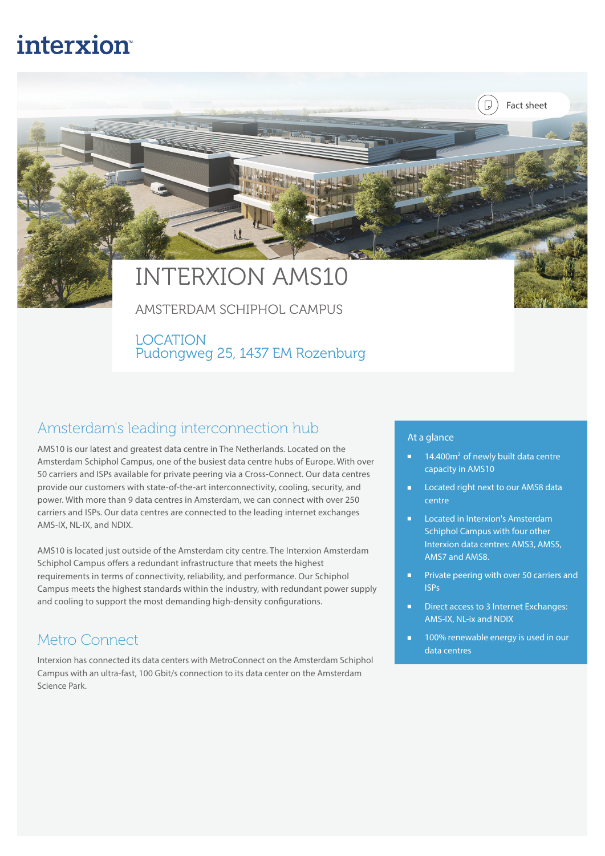## **interxion**

# INTERXION AMS10

AMSTERDAM SCHIPHOL CAMPUS

LOCATION Pudongweg 25, 1437 EM Rozenburg

#### Amsterdam's leading interconnection hub

AMS10 is our latest and greatest data centre in The Netherlands. Located on the Amsterdam Schiphol Campus, one of the busiest data centre hubs of Europe. With over 50 carriers and ISPs available for private peering via a Cross-Connect. Our data centres provide our customers with state-of-the-art interconnectivity, cooling, security, and power. With more than 9 data centres in Amsterdam, we can connect with over 250 carriers and ISPs. Our data centres are connected to the leading internet exchanges AMS-IX, NL-IX, and NDIX.

AMS10 is located just outside of the Amsterdam city centre. The Interxion Amsterdam Schiphol Campus offers a redundant infrastructure that meets the highest requirements in terms of connectivity, reliability, and performance. Our Schiphol Campus meets the highest standards within the industry, with redundant power supply and cooling to support the most demanding high-density configurations.

#### Metro Connect

Interxion has connected its data centers with MetroConnect on the Amsterdam Schiphol Campus with an ultra-fast, 100 Gbit/s connection to its data center on the Amsterdam Science Park.

#### At a glance

■ 14.400m<sup>2</sup> of newly built data centre capacity in AMS10

Fact sheet

Q

- Located right next to our AMS8 data centre
- Located in Interxion's Amsterdam Schiphol Campus with four other Interxion data centres: AMS3, AMS5, AMS7 and AMS8.
- Private peering with over 50 carriers and ISPs
- Direct access to 3 Internet Exchanges: AMS-IX, NL-ix and NDIX
- 100% renewable energy is used in our data centres